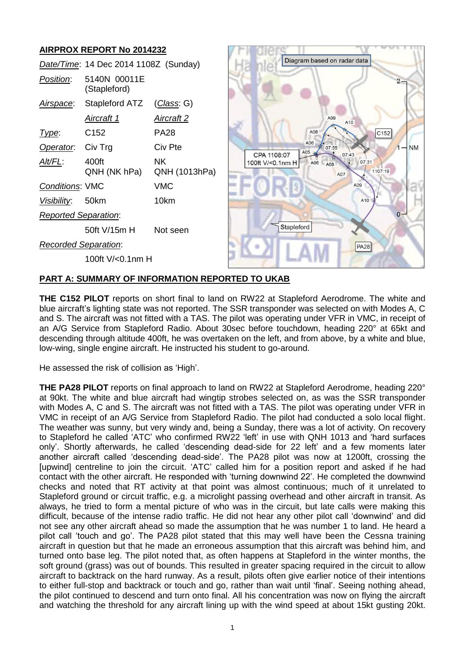# **AIRPROX REPORT No 2014232**

|                             | Date/Time: 14 Dec 2014 1108Z (Sunday) |                      | Diagram based on radar data                                              |
|-----------------------------|---------------------------------------|----------------------|--------------------------------------------------------------------------|
| Position:                   | 5140N 00011E<br>(Stapleford)          |                      |                                                                          |
| Airspace:                   | Stapleford ATZ                        | (Class: G)           |                                                                          |
|                             | <u>Aircraft 1</u>                     | <b>Aircraft 2</b>    | A09<br>A10                                                               |
| Type:                       | C <sub>152</sub>                      | <b>PA28</b>          | A08<br>C152                                                              |
| Operator.                   | Civ Trg                               | Civ Pte              | A06<br>$\overline{\mathsf{N}}\mathsf{M}$<br>07:55<br>A05<br>07:43        |
| Alt/FL:                     | 400ft<br>QNH (NK hPa)                 | NK.<br>QNH (1013hPa) | CPA 1108:07<br>07:31<br>100ft V/<0.1nm H<br>A06<br>A08<br>1107:19<br>A07 |
| Conditions: VMC             |                                       | <b>VMC</b>           | A09                                                                      |
| Visibility:                 | 50km                                  | 10km                 | A10                                                                      |
| <b>Reported Separation:</b> |                                       |                      | $0 -$                                                                    |
|                             | 50ft V/15m H                          | Not seen             | Stapleford                                                               |
| <b>Recorded Separation:</b> |                                       |                      | <b>PA28</b>                                                              |
|                             | 100ft V/<0.1nm H                      |                      |                                                                          |
|                             |                                       |                      |                                                                          |

 $J \vdash$  Manore  $\Box$ 

## **PART A: SUMMARY OF INFORMATION REPORTED TO UKAB**

**THE C152 PILOT** reports on short final to land on RW22 at Stapleford Aerodrome. The white and blue aircraft's lighting state was not reported. The SSR transponder was selected on with Modes A, C and S. The aircraft was not fitted with a TAS. The pilot was operating under VFR in VMC, in receipt of an A/G Service from Stapleford Radio. About 30sec before touchdown, heading 220° at 65kt and descending through altitude 400ft, he was overtaken on the left, and from above, by a white and blue, low-wing, single engine aircraft. He instructed his student to go-around.

He assessed the risk of collision as 'High'.

**THE PA28 PILOT** reports on final approach to land on RW22 at Stapleford Aerodrome, heading 220° at 90kt. The white and blue aircraft had wingtip strobes selected on, as was the SSR transponder with Modes A, C and S. The aircraft was not fitted with a TAS. The pilot was operating under VFR in VMC in receipt of an A/G Service from Stapleford Radio. The pilot had conducted a solo local flight. The weather was sunny, but very windy and, being a Sunday, there was a lot of activity. On recovery to Stapleford he called 'ATC' who confirmed RW22 'left' in use with QNH 1013 and 'hard surfaces only'. Shortly afterwards, he called 'descending dead-side for 22 left' and a few moments later another aircraft called 'descending dead-side'. The PA28 pilot was now at 1200ft, crossing the [upwind] centreline to join the circuit. 'ATC' called him for a position report and asked if he had contact with the other aircraft. He responded with 'turning downwind 22'. He completed the downwind checks and noted that RT activity at that point was almost continuous; much of it unrelated to Stapleford ground or circuit traffic, e.g. a microlight passing overhead and other aircraft in transit. As always, he tried to form a mental picture of who was in the circuit, but late calls were making this difficult, because of the intense radio traffic. He did not hear any other pilot call 'downwind' and did not see any other aircraft ahead so made the assumption that he was number 1 to land. He heard a pilot call 'touch and go'. The PA28 pilot stated that this may well have been the Cessna training aircraft in question but that he made an erroneous assumption that this aircraft was behind him, and turned onto base leg. The pilot noted that, as often happens at Stapleford in the winter months, the soft ground (grass) was out of bounds. This resulted in greater spacing required in the circuit to allow aircraft to backtrack on the hard runway. As a result, pilots often give earlier notice of their intentions to either full-stop and backtrack or touch and go, rather than wait until 'final'. Seeing nothing ahead, the pilot continued to descend and turn onto final. All his concentration was now on flying the aircraft and watching the threshold for any aircraft lining up with the wind speed at about 15kt gusting 20kt.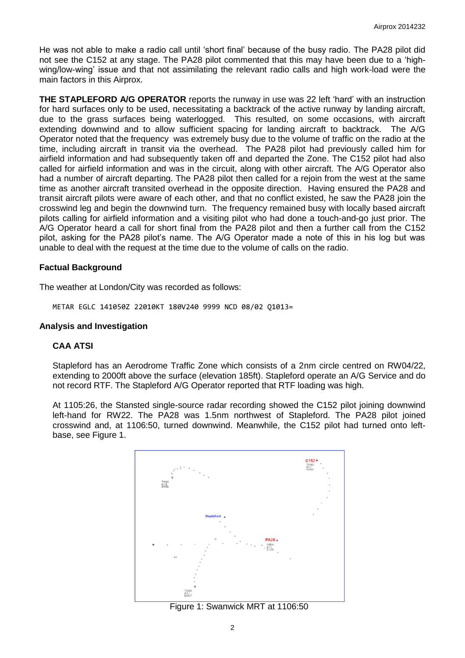He was not able to make a radio call until 'short final' because of the busy radio. The PA28 pilot did not see the C152 at any stage. The PA28 pilot commented that this may have been due to a 'highwing/low-wing' issue and that not assimilating the relevant radio calls and high work-load were the main factors in this Airprox.

**THE STAPLEFORD A/G OPERATOR** reports the runway in use was 22 left 'hard' with an instruction for hard surfaces only to be used, necessitating a backtrack of the active runway by landing aircraft, due to the grass surfaces being waterlogged. This resulted, on some occasions, with aircraft extending downwind and to allow sufficient spacing for landing aircraft to backtrack. The A/G Operator noted that the frequency was extremely busy due to the volume of traffic on the radio at the time, including aircraft in transit via the overhead. The PA28 pilot had previously called him for airfield information and had subsequently taken off and departed the Zone. The C152 pilot had also called for airfield information and was in the circuit, along with other aircraft. The A/G Operator also had a number of aircraft departing. The PA28 pilot then called for a rejoin from the west at the same time as another aircraft transited overhead in the opposite direction. Having ensured the PA28 and transit aircraft pilots were aware of each other, and that no conflict existed, he saw the PA28 join the crosswind leg and begin the downwind turn. The frequency remained busy with locally based aircraft pilots calling for airfield information and a visiting pilot who had done a touch-and-go just prior. The A/G Operator heard a call for short final from the PA28 pilot and then a further call from the C152 pilot, asking for the PA28 pilot's name. The A/G Operator made a note of this in his log but was unable to deal with the request at the time due to the volume of calls on the radio.

### **Factual Background**

The weather at London/City was recorded as follows:

METAR EGLC 141050Z 22010KT 180V240 9999 NCD 08/02 Q1013=

#### **Analysis and Investigation**

## **CAA ATSI**

Stapleford has an Aerodrome Traffic Zone which consists of a 2nm circle centred on RW04/22, extending to 2000ft above the surface (elevation 185ft). Stapleford operate an A/G Service and do not record RTF. The Stapleford A/G Operator reported that RTF loading was high.

At 1105:26, the Stansted single-source radar recording showed the C152 pilot joining downwind left-hand for RW22. The PA28 was 1.5nm northwest of Stapleford. The PA28 pilot joined crosswind and, at 1106:50, turned downwind. Meanwhile, the C152 pilot had turned onto leftbase, see Figure 1.



Figure 1: Swanwick MRT at 1106:50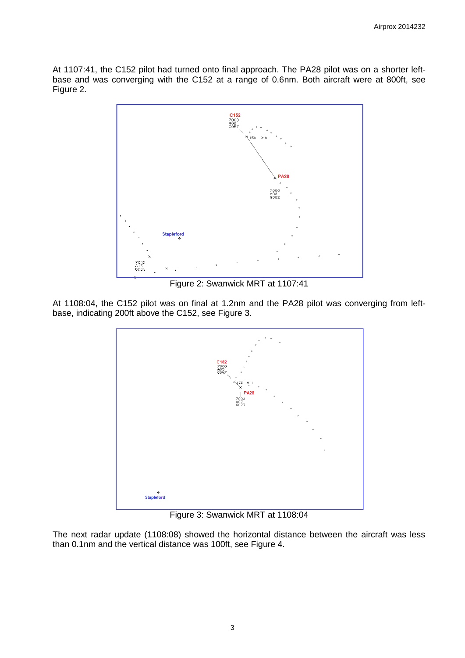At 1107:41, the C152 pilot had turned onto final approach. The PA28 pilot was on a shorter leftbase and was converging with the C152 at a range of 0.6nm. Both aircraft were at 800ft, see Figure 2.



Figure 2: Swanwick MRT at 1107:41

At 1108:04, the C152 pilot was on final at 1.2nm and the PA28 pilot was converging from leftbase, indicating 200ft above the C152, see Figure 3.



Figure 3: Swanwick MRT at 1108:04

The next radar update (1108:08) showed the horizontal distance between the aircraft was less than 0.1nm and the vertical distance was 100ft, see Figure 4.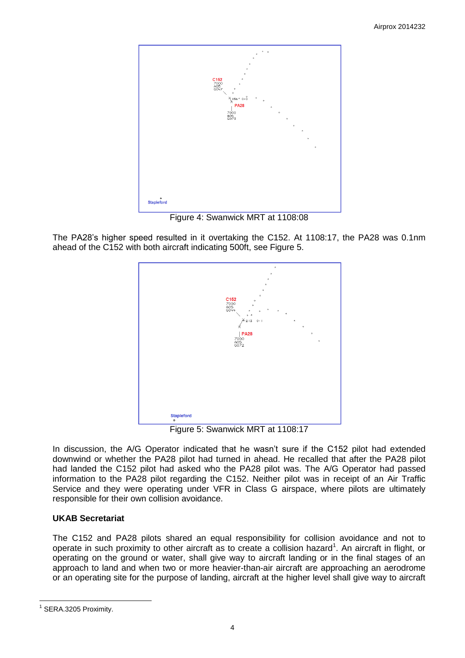

Figure 4: Swanwick MRT at 1108:08

The PA28's higher speed resulted in it overtaking the C152. At 1108:17, the PA28 was 0.1nm ahead of the C152 with both aircraft indicating 500ft, see Figure 5.



Figure 5: Swanwick MRT at 1108:17

In discussion, the A/G Operator indicated that he wasn't sure if the C152 pilot had extended downwind or whether the PA28 pilot had turned in ahead. He recalled that after the PA28 pilot had landed the C152 pilot had asked who the PA28 pilot was. The A/G Operator had passed information to the PA28 pilot regarding the C152. Neither pilot was in receipt of an Air Traffic Service and they were operating under VFR in Class G airspace, where pilots are ultimately responsible for their own collision avoidance.

# **UKAB Secretariat**

The C152 and PA28 pilots shared an equal responsibility for collision avoidance and not to operate in such proximity to other aircraft as to create a collision hazard<sup>1</sup>. An aircraft in flight, or operating on the ground or water, shall give way to aircraft landing or in the final stages of an approach to land and when two or more heavier-than-air aircraft are approaching an aerodrome or an operating site for the purpose of landing, aircraft at the higher level shall give way to aircraft

 $\overline{a}$ <sup>1</sup> SERA.3205 Proximity.